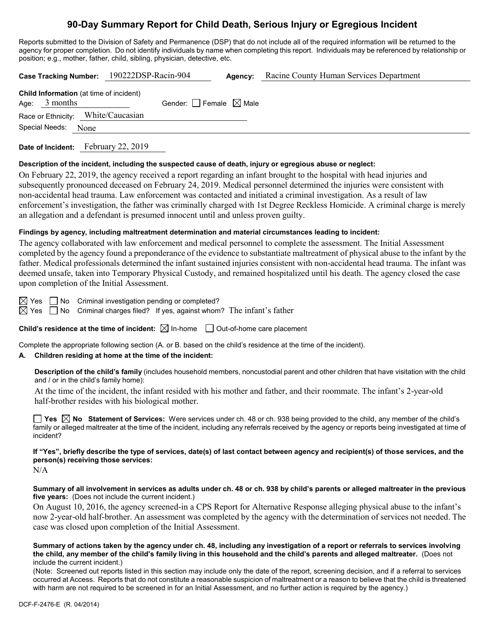# **90-Day Summary Report for Child Death, Serious Injury or Egregious Incident**

Reports submitted to the Division of Safety and Permanence (DSP) that do not include all of the required information will be returned to the agency for proper completion. Do not identify individuals by name when completing this report. Individuals may be referenced by relationship or position; e.g., mother, father, child, sibling, physician, detective, etc.

|                                                                   | Case Tracking Number: 190222DSP-Racin-904 | <b>Agency:</b> Racine County Human Services Department |
|-------------------------------------------------------------------|-------------------------------------------|--------------------------------------------------------|
| <b>Child Information</b> (at time of incident)<br>Age: $3$ months | Gender: $\Box$ Female $\boxtimes$ Male    |                                                        |
| Race or Ethnicity: White/Caucasian                                |                                           |                                                        |
| Special Needs: None                                               |                                           |                                                        |
|                                                                   |                                           |                                                        |

**Date of Incident:** February 22, 2019

#### **Description of the incident, including the suspected cause of death, injury or egregious abuse or neglect:**

On February 22, 2019, the agency received a report regarding an infant brought to the hospital with head injuries and subsequently pronounced deceased on February 24, 2019. Medical personnel determined the injuries were consistent with non-accidental head trauma. Law enforcement was contacted and initiated a criminal investigation. As a result of law enforcement's investigation, the father was criminally charged with 1st Degree Reckless Homicide. A criminal charge is merely an allegation and a defendant is presumed innocent until and unless proven guilty.

#### **Findings by agency, including maltreatment determination and material circumstances leading to incident:**

The agency collaborated with law enforcement and medical personnel to complete the assessment. The Initial Assessment completed by the agency found a preponderance of the evidence to substantiate maltreatment of physical abuse to the infant by the father. Medical professionals determined the infant sustained injuries consistent with non-accidental head trauma. The infant was deemed unsafe, taken into Temporary Physical Custody, and remained hospitalized until his death. The agency closed the case upon completion of the Initial Assessment.

 $\boxtimes$  Yes  $\Box$  No Criminal investigation pending or completed?

 $\boxtimes$  Yes  $\Box$  No Criminal charges filed? If yes, against whom? The infant's father

**Child's residence at the time of incident:**  $\boxtimes$  In-home  $\Box$  Out-of-home care placement

Complete the appropriate following section (A. or B. based on the child's residence at the time of the incident).

#### **A. Children residing at home at the time of the incident:**

**Description of the child's family** (includes household members, noncustodial parent and other children that have visitation with the child and / or in the child's family home):

At the time of the incident, the infant resided with his mother and father, and their roommate. The infant's 2-year-old half-brother resides with his biological mother.

**Yes**  $\boxtimes$  **No** Statement of Services: Were services under ch. 48 or ch. 938 being provided to the child, any member of the child's family or alleged maltreater at the time of the incident, including any referrals received by the agency or reports being investigated at time of incident?

## **If "Yes", briefly describe the type of services, date(s) of last contact between agency and recipient(s) of those services, and the person(s) receiving those services:**

 $N/A$ 

#### **Summary of all involvement in services as adults under ch. 48 or ch. 938 by child's parents or alleged maltreater in the previous five years:** (Does not include the current incident.)

On August 10, 2016, the agency screened-in a CPS Report for Alternative Response alleging physical abuse to the infant's now 2-year-old half-brother. An assessment was completed by the agency with the determination of services not needed. The case was closed upon completion of the Initial Assessment.

**Summary of actions taken by the agency under ch. 48, including any investigation of a report or referrals to services involving the child, any member of the child's family living in this household and the child's parents and alleged maltreater.** (Does not include the current incident.)

(Note: Screened out reports listed in this section may include only the date of the report, screening decision, and if a referral to services occurred at Access. Reports that do not constitute a reasonable suspicion of maltreatment or a reason to believe that the child is threatened with harm are not required to be screened in for an Initial Assessment, and no further action is required by the agency.)